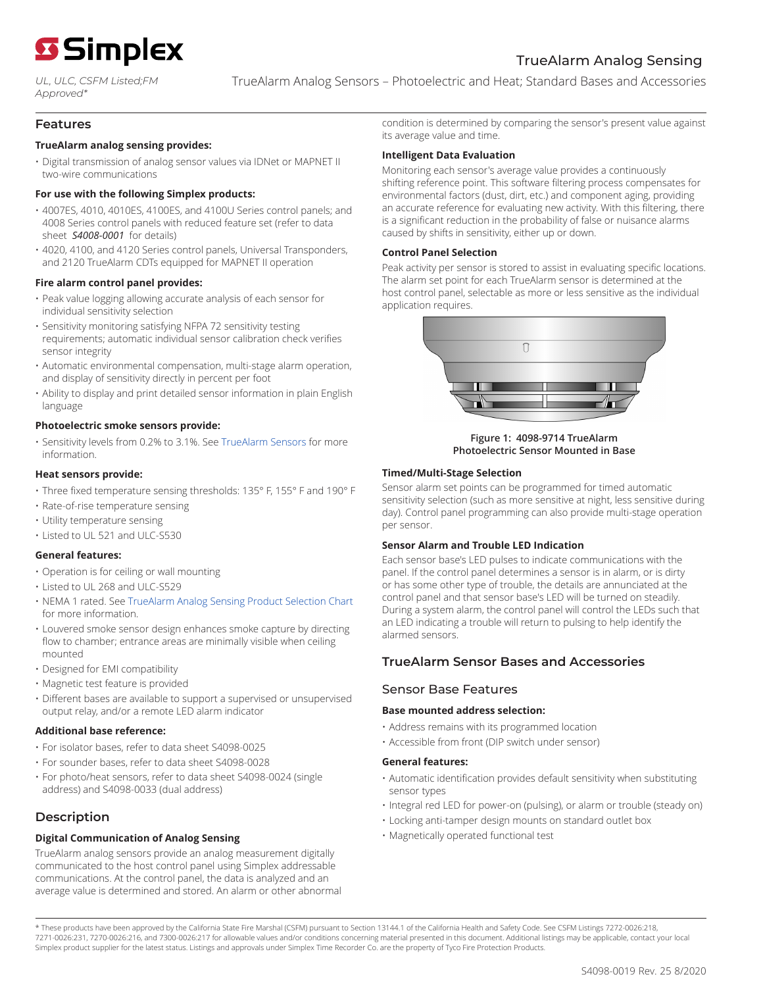

*UL, ULC, CSFM Listed;FM Approved\**

TrueAlarm Analog Sensors – Photoelectric and Heat; Standard Bases and Accessories

# **Features**

#### **TrueAlarm analog sensing provides:**

• Digital transmission of analog sensor values via IDNet or MAPNET II two-wire communications

#### **For use with the following Simplex products:**

- 4007ES, 4010, 4010ES, 4100ES, and 4100U Series control panels; and 4008 Series control panels with reduced feature set (refer to data sheet *S4008-0001* for details)
- 4020, 4100, and 4120 Series control panels, Universal Transponders, and 2120 TrueAlarm CDTs equipped for MAPNET II operation

#### **Fire alarm control panel provides:**

- Peak value logging allowing accurate analysis of each sensor for individual sensitivity selection
- Sensitivity monitoring satisfying NFPA 72 sensitivity testing requirements; automatic individual sensor calibration check verifies sensor integrity
- Automatic environmental compensation, multi-stage alarm operation, and display of sensitivity directly in percent per foot
- Ability to display and print detailed sensor information in plain English language

### **Photoelectric smoke sensors provide:**

• Sensitivity levels from 0.2% to 3.1%. See [TrueAlarm Sensors](#page-2-0) for more information.

#### **Heat sensors provide:**

- Three fixed temperature sensing thresholds: 135° F, 155° F and 190° F
- Rate-of-rise temperature sensing
- Utility temperature sensing
- Listed to UL 521 and ULC-S530

#### **General features:**

- Operation is for ceiling or wall mounting
- Listed to UL 268 and ULC-S529
- NEMA 1 rated. See [TrueAlarm Analog Sensing Product Selection Chart](#page-3-0) for more information.
- Louvered smoke sensor design enhances smoke capture by directing flow to chamber; entrance areas are minimally visible when ceiling mounted
- Designed for EMI compatibility
- Magnetic test feature is provided
- Different bases are available to support a supervised or unsupervised output relay, and/or a remote LED alarm indicator

#### **Additional base reference:**

- For isolator bases, refer to data sheet S4098-0025
- For sounder bases, refer to data sheet S4098-0028
- For photo/heat sensors, refer to data sheet S4098-0024 (single address) and S4098-0033 (dual address)

# **Description**

#### **Digital Communication of Analog Sensing**

TrueAlarm analog sensors provide an analog measurement digitally communicated to the host control panel using Simplex addressable communications. At the control panel, the data is analyzed and an average value is determined and stored. An alarm or other abnormal condition is determined by comparing the sensor's present value against its average value and time.

TrueAlarm Analog Sensing

#### **Intelligent Data Evaluation**

Monitoring each sensor's average value provides a continuously shifting reference point. This software filtering process compensates for environmental factors (dust, dirt, etc.) and component aging, providing an accurate reference for evaluating new activity. With this filtering, there is a significant reduction in the probability of false or nuisance alarms caused by shifts in sensitivity, either up or down.

#### **Control Panel Selection**

Peak activity per sensor is stored to assist in evaluating specific locations. The alarm set point for each TrueAlarm sensor is determined at the host control panel, selectable as more or less sensitive as the individual application requires.



**Figure 1: 4098-9714 TrueAlarm Photoelectric Sensor Mounted in Base**

#### **Timed/Multi-Stage Selection**

Sensor alarm set points can be programmed for timed automatic sensitivity selection (such as more sensitive at night, less sensitive during day). Control panel programming can also provide multi-stage operation per sensor.

#### **Sensor Alarm and Trouble LED Indication**

Each sensor base's LED pulses to indicate communications with the panel. If the control panel determines a sensor is in alarm, or is dirty or has some other type of trouble, the details are annunciated at the control panel and that sensor base's LED will be turned on steadily. During a system alarm, the control panel will control the LEDs such that an LED indicating a trouble will return to pulsing to help identify the alarmed sensors.

# **TrueAlarm Sensor Bases and Accessories**

## Sensor Base Features

#### **Base mounted address selection:**

- Address remains with its programmed location
- Accessible from front (DIP switch under sensor)

#### **General features:**

- Automatic identification provides default sensitivity when substituting sensor types
- Integral red LED for power-on (pulsing), or alarm or trouble (steady on)
- Locking anti-tamper design mounts on standard outlet box
- Magnetically operated functional test

\* These products have been approved by the California State Fire Marshal (CSFM) pursuant to Section 13144.1 of the California Health and Safety Code. See CSFM Listings 7272-0026:218, 7271-0026:231, 7270-0026:216, and 7300-0026:217 for allowable values and/or conditions concerning material presented in this document. Additional listings may be applicable, contact your local Simplex product supplier for the latest status. Listings and approvals under Simplex Time Recorder Co. are the property of Tyco Fire Protection Products.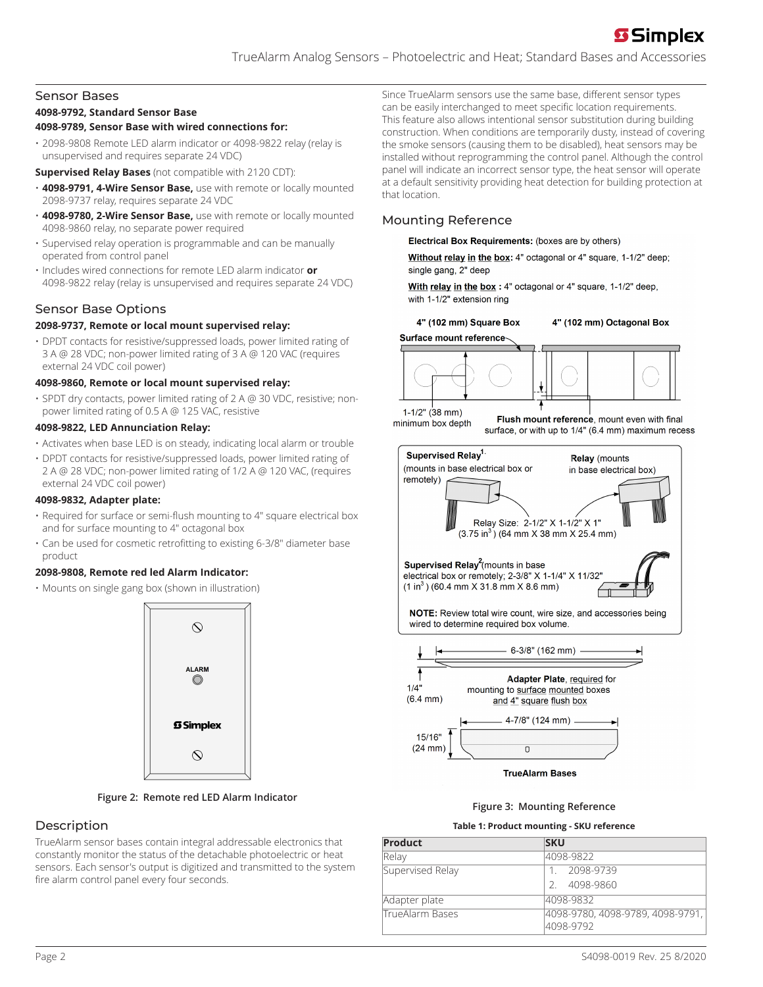# **S** Simplex

# Sensor Bases

## **4098-9792, Standard Sensor Base**

## **4098-9789, Sensor Base with wired connections for:**

• 2098-9808 Remote LED alarm indicator or 4098-9822 relay (relay is unsupervised and requires separate 24 VDC)

**Supervised Relay Bases** (not compatible with 2120 CDT):

- **4098-9791, 4-Wire Sensor Base,** use with remote or locally mounted 2098-9737 relay, requires separate 24 VDC
- **4098-9780, 2-Wire Sensor Base,** use with remote or locally mounted 4098-9860 relay, no separate power required
- Supervised relay operation is programmable and can be manually operated from control panel
- Includes wired connections for remote LED alarm indicator **or**  4098-9822 relay (relay is unsupervised and requires separate 24 VDC)

# <span id="page-1-0"></span>Sensor Base Options

## **2098-9737, Remote or local mount supervised relay:**

• DPDT contacts for resistive/suppressed loads, power limited rating of 3 A @ 28 VDC; non-power limited rating of 3 A @ 120 VAC (requires external 24 VDC coil power)

## **4098-9860, Remote or local mount supervised relay:**

• SPDT dry contacts, power limited rating of 2 A @ 30 VDC, resistive; nonpower limited rating of 0.5 A @ 125 VAC, resistive

## **4098-9822, LED Annunciation Relay:**

- Activates when base LED is on steady, indicating local alarm or trouble
- DPDT contacts for resistive/suppressed loads, power limited rating of 2 A @ 28 VDC; non-power limited rating of 1/2 A @ 120 VAC, (requires external 24 VDC coil power)

#### **4098-9832, Adapter plate:**

- Required for surface or semi-flush mounting to 4" square electrical box and for surface mounting to 4" octagonal box
- Can be used for cosmetic retrofitting to existing 6-3/8" diameter base product

# **2098-9808, Remote red led Alarm Indicator:**

• Mounts on single gang box (shown in illustration)



**Figure 2: Remote red LED Alarm Indicator**

# **Description**

TrueAlarm sensor bases contain integral addressable electronics that constantly monitor the status of the detachable photoelectric or heat sensors. Each sensor's output is digitized and transmitted to the system fire alarm control panel every four seconds.

Since TrueAlarm sensors use the same base, different sensor types can be easily interchanged to meet specific location requirements. This feature also allows intentional sensor substitution during building construction. When conditions are temporarily dusty, instead of covering the smoke sensors (causing them to be disabled), heat sensors may be installed without reprogramming the control panel. Although the control panel will indicate an incorrect sensor type, the heat sensor will operate at a default sensitivity providing heat detection for building protection at that location.

# Mounting Reference

#### Electrical Box Requirements: (boxes are by others)

Without relay in the box: 4" octagonal or 4" square, 1-1/2" deep; single gang, 2" deep

With relay in the box : 4" octagonal or 4" square, 1-1/2" deep, with 1-1/2" extension ring





#### **Figure 3: Mounting Reference**

#### **Table 1: Product mounting - SKU reference**

| Product          | <b>SKU</b>                                    |
|------------------|-----------------------------------------------|
| Relay            | 4098-9822                                     |
| Supervised Relay | 2098-9739                                     |
|                  | 2. 4098-9860                                  |
| Adapter plate    | 4098-9832                                     |
| TrueAlarm Bases  | 4098-9780, 4098-9789, 4098-9791,<br>4098-9792 |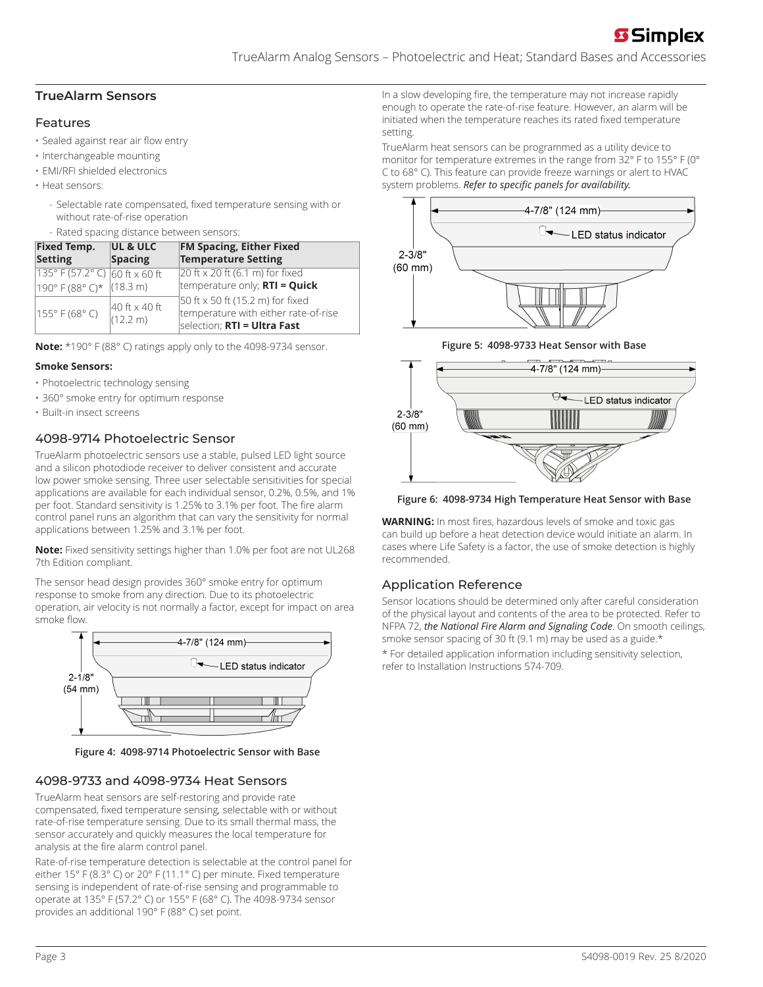# **S** Simplex

TrueAlarm Analog Sensors – Photoelectric and Heat; Standard Bases and Accessories

# <span id="page-2-0"></span>**TrueAlarm Sensors**

# Features

- Sealed against rear air flow entry
- Interchangeable mounting
- EMI/RFI shielded electronics
- Heat sensors:
	- Selectable rate compensated, fixed temperature sensing with or without rate-of-rise operation
	- Rated spacing distance between sensors:

| <b>Fixed Temp.</b><br><b>Setting</b>                               | UL & ULC<br><b>Spacing</b> | <b>FM Spacing, Either Fixed</b><br><b>Temperature Setting</b>                                                  |
|--------------------------------------------------------------------|----------------------------|----------------------------------------------------------------------------------------------------------------|
| $135^{\circ}$ F (57.2°C) 60 ft x 60 ft<br>190° F (88° C)* (18.3 m) |                            | 20 ft x 20 ft (6.1 m) for fixed<br>temperature only; <b>RTI = Quick</b>                                        |
| 155° F (68° C)                                                     | 40 ft x 40 ft<br>(12.2 m)  | 50 ft x 50 ft (15.2 m) for fixed<br>temperature with either rate-of-rise<br>selection; <b>RTI = Ultra Fast</b> |

**Note:** \*190° F (88° C) ratings apply only to the 4098-9734 sensor.

# **Smoke Sensors:**

- Photoelectric technology sensing
- 360° smoke entry for optimum response
- Built-in insect screens

# 4098-9714 Photoelectric Sensor

TrueAlarm photoelectric sensors use a stable, pulsed LED light source and a silicon photodiode receiver to deliver consistent and accurate low power smoke sensing. Three user selectable sensitivities for special applications are available for each individual sensor, 0.2%, 0.5%, and 1% per foot. Standard sensitivity is 1.25% to 3.1% per foot. The fire alarm control panel runs an algorithm that can vary the sensitivity for normal applications between 1.25% and 3.1% per foot.

**Note:** Fixed sensitivity settings higher than 1.0% per foot are not UL268 7th Edition compliant.

The sensor head design provides 360° smoke entry for optimum response to smoke from any direction. Due to its photoelectric operation, air velocity is not normally a factor, except for impact on area smoke flow.



**Figure 4: 4098-9714 Photoelectric Sensor with Base**

# 4098-9733 and 4098-9734 Heat Sensors

TrueAlarm heat sensors are self-restoring and provide rate compensated, fixed temperature sensing, selectable with or without rate-of-rise temperature sensing. Due to its small thermal mass, the sensor accurately and quickly measures the local temperature for analysis at the fire alarm control panel.

Rate-of-rise temperature detection is selectable at the control panel for either 15° F (8.3° C) or 20° F (11.1° C) per minute. Fixed temperature sensing is independent of rate-of-rise sensing and programmable to operate at 135° F (57.2° C) or 155° F (68° C). The 4098-9734 sensor provides an additional 190° F (88° C) set point.

In a slow developing fire, the temperature may not increase rapidly enough to operate the rate-of-rise feature. However, an alarm will be initiated when the temperature reaches its rated fixed temperature setting.

TrueAlarm heat sensors can be programmed as a utility device to monitor for temperature extremes in the range from 32° F to 155° F (0° C to 68° C). This feature can provide freeze warnings or alert to HVAC system problems. *Refer to specific panels for availability.*



**Figure 5: 4098-9733 Heat Sensor with Base**



**Figure 6: 4098-9734 High Temperature Heat Sensor with Base**

**WARNING:** In most fires, hazardous levels of smoke and toxic gas can build up before a heat detection device would initiate an alarm. In cases where Life Safety is a factor, the use of smoke detection is highly recommended.

# Application Reference

Sensor locations should be determined only after careful consideration of the physical layout and contents of the area to be protected. Refer to NFPA 72, *the National Fire Alarm and Signaling Code*. On smooth ceilings, smoke sensor spacing of 30 ft (9.1 m) may be used as a guide.\*

\* For detailed application information including sensitivity selection, refer to Installation Instructions 574-709.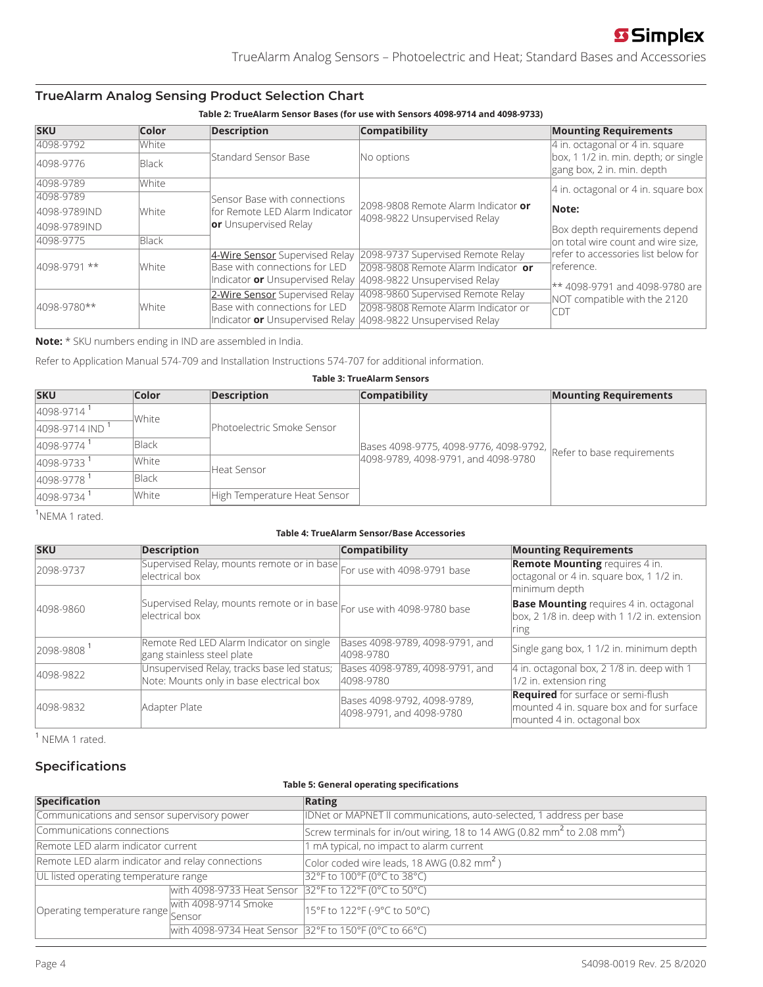# <span id="page-3-0"></span>**TrueAlarm Analog Sensing Product Selection Chart**

## **Table 2: TrueAlarm Sensor Bases (for use with Sensors 4098-9714 and 4098-9733)**

| <b>SKU</b>              | Color                                                                                           | <b>Description</b>                  | <b>Compatibility</b>                                                | <b>Mounting Requirements</b>                                       |
|-------------------------|-------------------------------------------------------------------------------------------------|-------------------------------------|---------------------------------------------------------------------|--------------------------------------------------------------------|
| 4098-9792               | White                                                                                           |                                     |                                                                     | 4 in. octagonal or 4 in. square                                    |
| 4098-9776               | Black                                                                                           | Standard Sensor Base                | No options                                                          | box, 1 1/2 in. min. depth; or single<br>gang box, 2 in. min. depth |
| 4098-9789               | White                                                                                           |                                     |                                                                     | $ 4$ in, octagonal or 4 in, square box                             |
| 4098-9789               |                                                                                                 | Sensor Base with connections        | 2098-9808 Remote Alarm Indicator or<br>4098-9822 Unsupervised Relay |                                                                    |
| 4098-9789IND            | White                                                                                           | lfor Remote LED Alarm Indicator     |                                                                     | Note:                                                              |
| 4098-9789IND            |                                                                                                 | <b>or</b> Unsupervised Relay        |                                                                     | Box depth requirements depend                                      |
| 4098-9775               | <b>Black</b>                                                                                    |                                     |                                                                     | on total wire count and wire size,                                 |
|                         |                                                                                                 | 4-Wire Sensor Supervised Relay      | 2098-9737 Supervised Remote Relay                                   | refer to accessories list below for                                |
| 4098-9791 **            | White                                                                                           | Base with connections for LED       | 2098-9808 Remote Alarm Indicator or                                 | Ireference.                                                        |
|                         |                                                                                                 | Indicator or Unsupervised Relay     | 4098-9822 Unsupervised Relay                                        | ** 4098-9791 and 4098-9780 are                                     |
| $ 4098-9780**$<br>White |                                                                                                 | 2-Wire Sensor Supervised Relay      | 4098-9860 Supervised Remote Relay                                   | NOT compatible with the 2120                                       |
|                         | Base with connections for LED<br>Indicator or Unsupervised Relay   4098-9822 Unsupervised Relay | 2098-9808 Remote Alarm Indicator or | CDT                                                                 |                                                                    |

**Note:** \* SKU numbers ending in IND are assembled in India.

Refer to Application Manual 574-709 and Installation Instructions 574-707 for additional information.

### **Table 3: TrueAlarm Sensors**

| <b>SKU</b>                 | Color        | <b>Description</b>           | <b>Compatibility</b>                                                                                     | <b>Mounting Requirements</b> |
|----------------------------|--------------|------------------------------|----------------------------------------------------------------------------------------------------------|------------------------------|
| 4098-9714                  | White        |                              | Bases 4098-9775, 4098-9776, 4098-9792, Refer to base requirements<br>4098-9789, 4098-9791, and 4098-9780 |                              |
| $ 4098-9714 ND ^{1}$       |              | lPhotoelectric Smoke Sensor  |                                                                                                          |                              |
| 4098-9774                  | <b>Black</b> |                              |                                                                                                          |                              |
| $ 4098-9733 $ <sup>1</sup> | <i>White</i> | Heat Sensor                  |                                                                                                          |                              |
| 4098-9778                  | <b>Black</b> |                              |                                                                                                          |                              |
| 4098-9734                  | lWhite       | High Temperature Heat Sensor |                                                                                                          |                              |

<sup>1</sup>NEMA 1 rated.

# **Table 4: TrueAlarm Sensor/Base Accessories**

| <b>SKU</b>             | <b>Description</b>                                                                       | <b>Compatibility</b>                                    | <b>Mounting Requirements</b>                                                                                         |
|------------------------|------------------------------------------------------------------------------------------|---------------------------------------------------------|----------------------------------------------------------------------------------------------------------------------|
| 2098-9737              | Supervised Relay, mounts remote or in base For use with 4098-9791 base<br>electrical box |                                                         | <b>Remote Mounting requires 4 in.</b><br>octagonal or 4 in. square box, 1 1/2 in.                                    |
|                        |                                                                                          |                                                         | minimum depth                                                                                                        |
| 4098-9860              | Supervised Relay, mounts remote or in base For use with 4098-9780 base<br>electrical box |                                                         | <b>Base Mounting</b> requires 4 in. octagonal<br>box, 2 1/8 in. deep with 1 1/2 in. extension<br> ring               |
| 2098-9808 <sup>1</sup> | Remote Red LED Alarm Indicator on single<br>gang stainless steel plate                   | Bases 4098-9789, 4098-9791, and<br>4098-9780            | Single gang box, 1 1/2 in. minimum depth                                                                             |
| 4098-9822              | Unsupervised Relay, tracks base led status;<br>Note: Mounts only in base electrical box  | Bases 4098-9789, 4098-9791, and<br>4098-9780            | 4 in. octagonal box, 2 1/8 in. deep with 1<br>1/2 in. extension ring                                                 |
| 4098-9832              | Adapter Plate                                                                            | Bases 4098-9792, 4098-9789,<br>4098-9791, and 4098-9780 | <b>Required</b> for surface or semi-flush<br>mounted 4 in. square box and for surface<br>mounted 4 in. octagonal box |

<sup>1</sup> NEMA 1 rated.

# **Specifications**

# **Table 5: General operating specifications**

| <b>Specification</b>                             |                                                        | Rating                                                                                          |
|--------------------------------------------------|--------------------------------------------------------|-------------------------------------------------------------------------------------------------|
| Communications and sensor supervisory power      |                                                        | IDNet or MAPNET II communications, auto-selected, 1 address per base                            |
| Communications connections                       |                                                        | Screw terminals for in/out wiring, 18 to 14 AWG (0.82 mm <sup>2</sup> to 2.08 mm <sup>2</sup> ) |
| Remote LED alarm indicator current               |                                                        | 1 mA typical, no impact to alarm current                                                        |
| Remote LED alarm indicator and relay connections |                                                        | Color coded wire leads, 18 AWG (0.82 mm <sup>2</sup> )                                          |
| UL listed operating temperature range            |                                                        | 32°F to 100°F (0°C to 38°C)                                                                     |
| Operating temperature range Sensor               | with 4098-9733 Heat Sensor 32°F to 122°F (0°C to 50°C) |                                                                                                 |
|                                                  | lwith 4098-9714 Smoke                                  | 15°F to 122°F (-9°C to 50°C)                                                                    |
|                                                  |                                                        |                                                                                                 |
|                                                  | with 4098-9734 Heat Sensor 32°F to 150°F (0°C to 66°C) |                                                                                                 |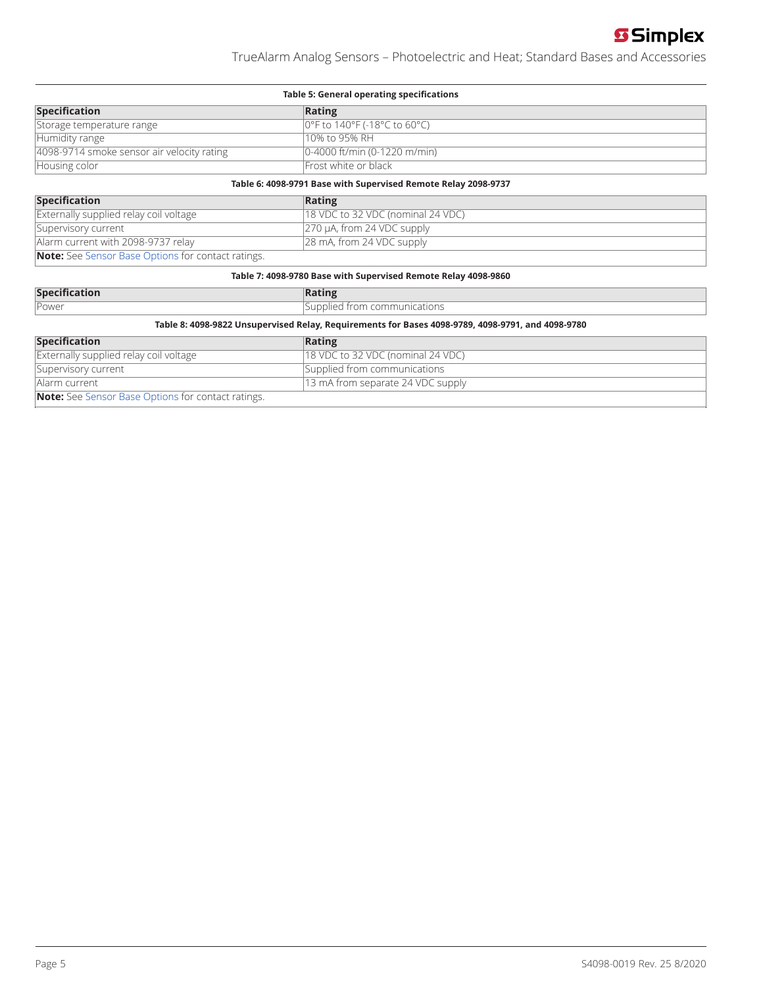# **S** Simplex

TrueAlarm Analog Sensors – Photoelectric and Heat; Standard Bases and Accessories

| Table 5: General operating specifications  |                                 |  |
|--------------------------------------------|---------------------------------|--|
| <b>Specification</b>                       | Rating                          |  |
| Storage temperature range                  | 0°F to 140°F (-18°C to 60°C)    |  |
| Humidity range                             | 110% to 95% RH                  |  |
| 4098-9714 smoke sensor air velocity rating | $ 0-4000$ ft/min (0-1220 m/min) |  |
| Housing color                              | Frost white or black            |  |

## **Table 6: 4098-9791 Base with Supervised Remote Relay 2098-9737**

| <b>Specification</b>                                      | Rating                              |
|-----------------------------------------------------------|-------------------------------------|
| Externally supplied relay coil voltage                    | $18$ VDC to 32 VDC (nominal 24 VDC) |
| Supervisory current                                       | $ 270 \mu A$ , from 24 VDC supply   |
| Alarm current with 2098-9737 relay                        | 28 mA, from 24 VDC supply           |
| <b>Note:</b> See Sensor Base Options for contact ratings. |                                     |

#### **Table 7: 4098-9780 Base with Supervised Remote Relay 4098-9860**

| <b>Spec</b> |                          |
|-------------|--------------------------|
| Power       | communications<br>$\sim$ |
| _           | .                        |

#### **Table 8: 4098-9822 Unsupervised Relay, Requirements for Bases 4098-9789, 4098-9791, and 4098-9780**

| <b>Specification</b>                                      | Rating                              |
|-----------------------------------------------------------|-------------------------------------|
| Externally supplied relay coil voltage                    | $18$ VDC to 32 VDC (nominal 24 VDC) |
| Supervisory current                                       | Supplied from communications        |
| Alarm current                                             | 13 mA from separate 24 VDC supply   |
| <b>Note:</b> See Sensor Base Options for contact ratings. |                                     |